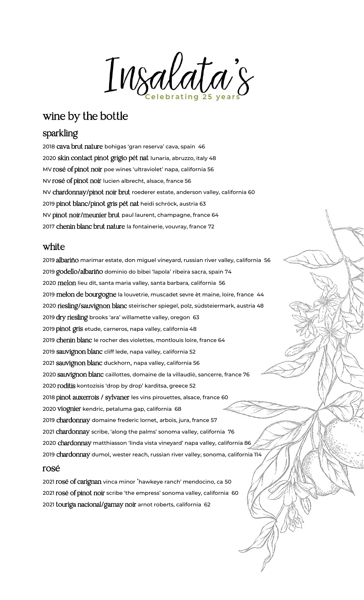Insalata's

# wine by the bottle

## sparkling

<sup>2018</sup> cava brut nature bohigas 'gran reserva' cava, spain 46 <sup>2020</sup> skin contact pinot grigio pét nat lunaria, abruzzo, italy <sup>48</sup> MV rosé of pinot noir poe wines 'ultraviolet' napa, california 56 NV rosé of pinot noir lucien albrecht, alsace, france 56 NV chardonnay/pinot noir brut roederer estate, anderson valley, california <sup>60</sup> <sup>2019</sup> pinot blanc/pinot gris pét nat heidi schröck, austria 63 NV pinot noir/meunier brut paul laurent, champagne, france 64 <sup>2017</sup> chenin blanc brut nature la fontainerie, vouvray, france 72

### white

 albariño marimar estate, don miguel vineyard, russian river valley, california 56 godello/albariño dominio do bibei 'lapola' ribeira sacra, spain 74 melon lieu dit, santa maria valley, santa barbara, california 56 2019 melon de bourgogne la louvetrie, muscadet sevre èt maine, loire, france 44 riesling/sauvignon blanc steirischer spiegel, polz, südsteiermark, austria 48 2019 dry riesling brooks 'ara' willamette valley, oregon 63 2019 pinot gris etude, carneros, napa valley, california 48 chenin blanc le rocher des violettes, montlouis loire, france 64 sauvignon blanc cliff lede, napa valley, california <sup>52</sup> sauvignon blanc duckhorn, napa valley, california 56 sauvignon blanc caillottes, domaine de la villaudiè, sancerre, france 76 2020 roditis kontozisis 'drop by drop' karditsa, greece 52 pinot auxerrois / sylvaner les vins pirouettes, alsace, france 60 viognier kendric, petaluma gap, california 68 chardonnay domaine frederic lornet, arbois, jura, france <sup>57</sup> chardonnay scribe, 'along the palms' sonoma valley, california 76 chardonnay matthiasson 'linda vista vineyard' napa valley, california 86 chardonnay dumol, wester reach, russian river valley, sonoma, california 114

## rosé

<sup>2021</sup> rosé of carignan vinca minor 'hawkeye ranch' mendocino, ca <sup>50</sup> <sup>2021</sup> rosé of pinot noir scribe 'the empress' sonoma valley, california 60 2021 touriga nacional/gamay noir arnot roberts, california 62